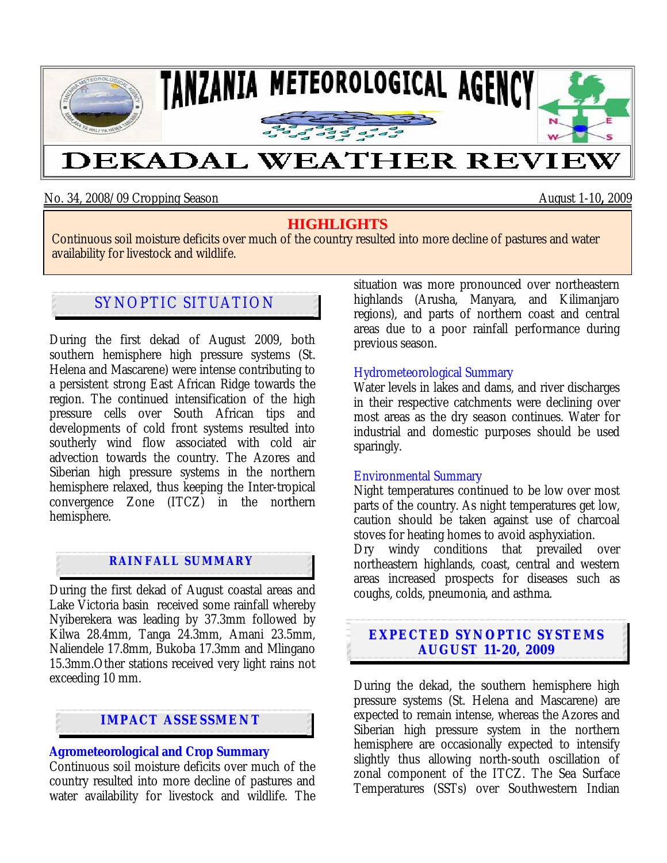

No. 34, 2008/09 Cropping Season August 1-10**,** 2009

# **HIGHLIGHTS**

Continuous soil moisture deficits over much of the country resulted into more decline of pastures and water availability for livestock and wildlife.

# SYNOPTIC SITUATION

During the first dekad of August 2009, both southern hemisphere high pressure systems (St. Helena and Mascarene) were intense contributing to a persistent strong East African Ridge towards the region. The continued intensification of the high pressure cells over South African tips and developments of cold front systems resulted into southerly wind flow associated with cold air advection towards the country. The Azores and Siberian high pressure systems in the northern hemisphere relaxed, thus keeping the Inter-tropical convergence Zone (ITCZ) in the northern hemisphere.

## **RAINFALL SUMMARY**

During the first dekad of August coastal areas and Lake Victoria basin received some rainfall whereby Nyiberekera was leading by 37.3mm followed by Kilwa 28.4mm, Tanga 24.3mm, Amani 23.5mm, Naliendele 17.8mm, Bukoba 17.3mm and Mlingano 15.3mm.Other stations received very light rains not exceeding 10 mm.

# **IMPACT ASSESSMENT**

#### **Agrometeorological and Crop Summary**

Continuous soil moisture deficits over much of the country resulted into more decline of pastures and water availability for livestock and wildlife. The situation was more pronounced over northeastern highlands (Arusha, Manyara, and Kilimanjaro regions), and parts of northern coast and central areas due to a poor rainfall performance during previous season.

#### Hydrometeorological Summary

Water levels in lakes and dams, and river discharges in their respective catchments were declining over most areas as the dry season continues. Water for industrial and domestic purposes should be used sparingly.

#### Environmental Summary

Night temperatures continued to be low over most parts of the country. As night temperatures get low, caution should be taken against use of charcoal stoves for heating homes to avoid asphyxiation.

Dry windy conditions that prevailed over northeastern highlands, coast, central and western areas increased prospects for diseases such as coughs, colds, pneumonia, and asthma.

## **EXPECTED SYNOPTIC SYSTEMS AUGUST 11-20, 2009**

During the dekad, the southern hemisphere high pressure systems (St. Helena and Mascarene) are expected to remain intense, whereas the Azores and Siberian high pressure system in the northern hemisphere are occasionally expected to intensify slightly thus allowing north-south oscillation of zonal component of the ITCZ. The Sea Surface Temperatures (SSTs) over Southwestern Indian